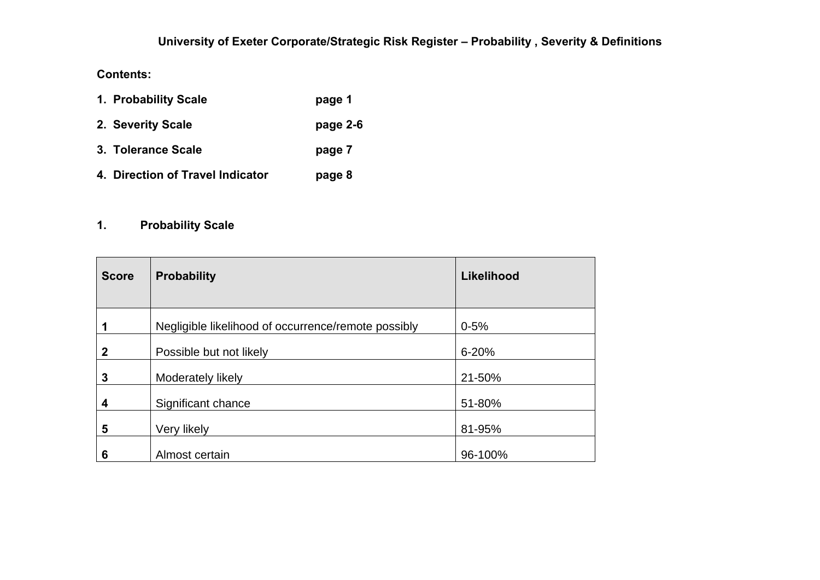#### **Contents:**

| 1. Probability Scale             | page 1   |
|----------------------------------|----------|
| 2. Severity Scale                | page 2-6 |
| 3. Tolerance Scale               | page 7   |
| 4. Direction of Travel Indicator | page 8   |

## **1. Probability Scale**

| <b>Score</b> | <b>Probability</b>                                  | Likelihood |
|--------------|-----------------------------------------------------|------------|
|              | Negligible likelihood of occurrence/remote possibly | $0 - 5%$   |
| 2            | Possible but not likely                             | $6 - 20%$  |
| 3            | Moderately likely                                   | 21-50%     |
| 4            | Significant chance                                  | 51-80%     |
| 5            | Very likely                                         | 81-95%     |
| 6            | Almost certain                                      | 96-100%    |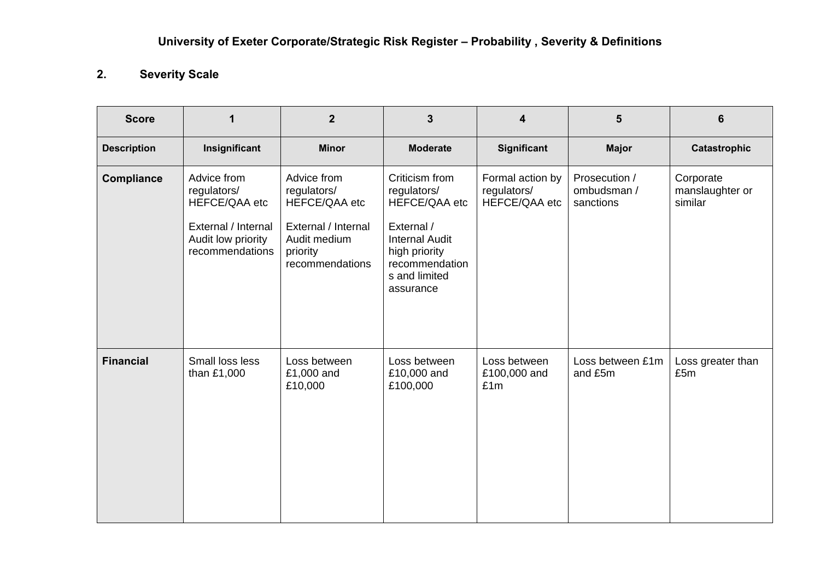## **2. Severity Scale**

| <b>Score</b>       | 1                                                                                                           | $\boldsymbol{2}$                                                                                                  | $\overline{3}$                                                                                                                                         | 4                                                | 5                                         | 6                                       |
|--------------------|-------------------------------------------------------------------------------------------------------------|-------------------------------------------------------------------------------------------------------------------|--------------------------------------------------------------------------------------------------------------------------------------------------------|--------------------------------------------------|-------------------------------------------|-----------------------------------------|
| <b>Description</b> | Insignificant                                                                                               | <b>Minor</b>                                                                                                      | <b>Moderate</b>                                                                                                                                        | <b>Significant</b>                               | <b>Major</b>                              | Catastrophic                            |
| <b>Compliance</b>  | Advice from<br>regulators/<br>HEFCE/QAA etc<br>External / Internal<br>Audit low priority<br>recommendations | Advice from<br>regulators/<br>HEFCE/QAA etc<br>External / Internal<br>Audit medium<br>priority<br>recommendations | Criticism from<br>regulators/<br>HEFCE/QAA etc<br>External /<br><b>Internal Audit</b><br>high priority<br>recommendation<br>s and limited<br>assurance | Formal action by<br>regulators/<br>HEFCE/QAA etc | Prosecution /<br>ombudsman /<br>sanctions | Corporate<br>manslaughter or<br>similar |
| <b>Financial</b>   | Small loss less<br>than £1,000                                                                              | Loss between<br>£1,000 and<br>£10,000                                                                             | Loss between<br>£10,000 and<br>£100,000                                                                                                                | Loss between<br>£100,000 and<br>£1m              | Loss between £1m<br>and £5m               | Loss greater than<br>£5m                |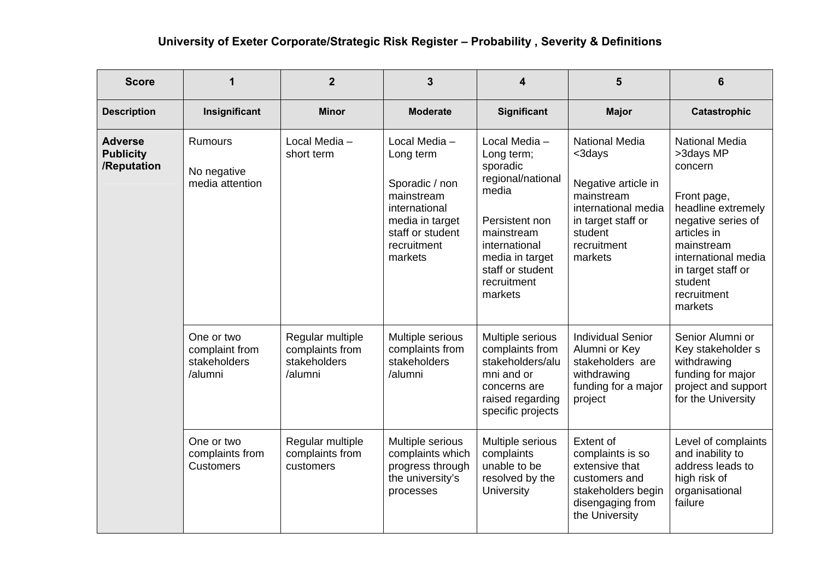| <b>Score</b>                                      | 1                                                       | $\boldsymbol{2}$                                               | $\mathbf{3}$                                                                                                                                 | 4                                                                                                                                                                                       | 5                                                                                                                                                      | 6                                                                                                                                                                                                                       |
|---------------------------------------------------|---------------------------------------------------------|----------------------------------------------------------------|----------------------------------------------------------------------------------------------------------------------------------------------|-----------------------------------------------------------------------------------------------------------------------------------------------------------------------------------------|--------------------------------------------------------------------------------------------------------------------------------------------------------|-------------------------------------------------------------------------------------------------------------------------------------------------------------------------------------------------------------------------|
| <b>Description</b>                                | Insignificant                                           | <b>Minor</b>                                                   | <b>Moderate</b>                                                                                                                              | Significant                                                                                                                                                                             | <b>Major</b>                                                                                                                                           | <b>Catastrophic</b>                                                                                                                                                                                                     |
| <b>Adverse</b><br><b>Publicity</b><br>/Reputation | <b>Rumours</b><br>No negative<br>media attention        | Local Media -<br>short term                                    | Local Media -<br>Long term<br>Sporadic / non<br>mainstream<br>international<br>media in target<br>staff or student<br>recruitment<br>markets | Local Media -<br>Long term;<br>sporadic<br>regional/national<br>media<br>Persistent non<br>mainstream<br>international<br>media in target<br>staff or student<br>recruitment<br>markets | <b>National Media</b><br><3days<br>Negative article in<br>mainstream<br>international media<br>in target staff or<br>student<br>recruitment<br>markets | <b>National Media</b><br>>3days MP<br>concern<br>Front page,<br>headline extremely<br>negative series of<br>articles in<br>mainstream<br>international media<br>in target staff or<br>student<br>recruitment<br>markets |
|                                                   | One or two<br>complaint from<br>stakeholders<br>/alumni | Regular multiple<br>complaints from<br>stakeholders<br>/alumni | Multiple serious<br>complaints from<br>stakeholders<br>/alumni                                                                               | Multiple serious<br>complaints from<br>stakeholders/alu<br>mni and or<br>concerns are<br>raised regarding<br>specific projects                                                          | <b>Individual Senior</b><br>Alumni or Key<br>stakeholders are<br>withdrawing<br>funding for a major<br>project                                         | Senior Alumni or<br>Key stakeholder s<br>withdrawing<br>funding for major<br>project and support<br>for the University                                                                                                  |
|                                                   | One or two<br>complaints from<br><b>Customers</b>       | Regular multiple<br>complaints from<br>customers               | Multiple serious<br>complaints which<br>progress through<br>the university's<br>processes                                                    | Multiple serious<br>complaints<br>unable to be<br>resolved by the<br><b>University</b>                                                                                                  | <b>Extent of</b><br>complaints is so<br>extensive that<br>customers and<br>stakeholders begin<br>disengaging from<br>the University                    | Level of complaints<br>and inability to<br>address leads to<br>high risk of<br>organisational<br>failure                                                                                                                |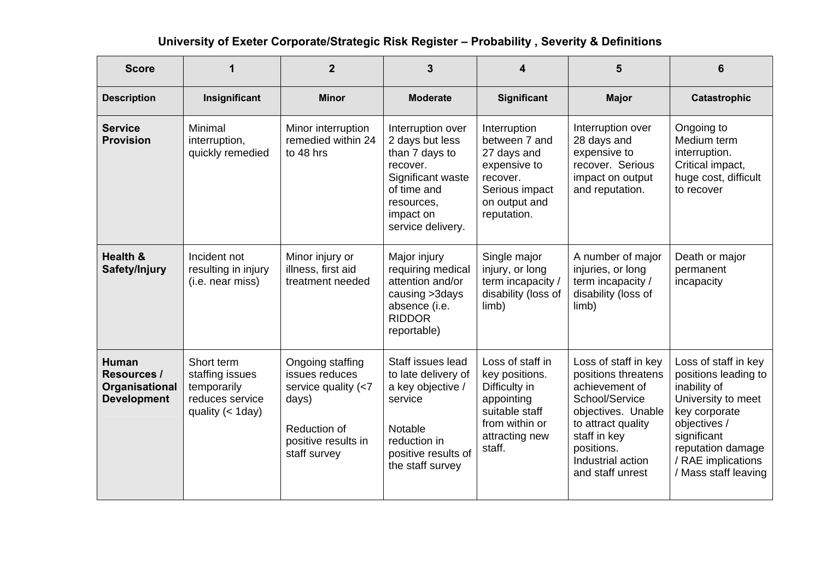| <b>Score</b>                                                               |                                                                                        | $\overline{2}$                                                                                                               | 3                                                                                                                                                      |                                                                                                                                   | 5                                                                                                                                                                                                  | 6                                                                                                                                                                                                     |
|----------------------------------------------------------------------------|----------------------------------------------------------------------------------------|------------------------------------------------------------------------------------------------------------------------------|--------------------------------------------------------------------------------------------------------------------------------------------------------|-----------------------------------------------------------------------------------------------------------------------------------|----------------------------------------------------------------------------------------------------------------------------------------------------------------------------------------------------|-------------------------------------------------------------------------------------------------------------------------------------------------------------------------------------------------------|
| <b>Description</b>                                                         | Insignificant                                                                          | <b>Minor</b>                                                                                                                 | <b>Moderate</b>                                                                                                                                        | <b>Significant</b>                                                                                                                | <b>Major</b>                                                                                                                                                                                       | <b>Catastrophic</b>                                                                                                                                                                                   |
| <b>Service</b><br><b>Provision</b>                                         | Minimal<br>interruption,<br>quickly remedied                                           | Minor interruption<br>remedied within 24<br>to 48 hrs                                                                        | Interruption over<br>2 days but less<br>than 7 days to<br>recover.<br>Significant waste<br>of time and<br>resources,<br>impact on<br>service delivery. | Interruption<br>between 7 and<br>27 days and<br>expensive to<br>recover.<br>Serious impact<br>on output and<br>reputation.        | Interruption over<br>28 days and<br>expensive to<br>recover. Serious<br>impact on output<br>and reputation.                                                                                        | Ongoing to<br>Medium term<br>interruption.<br>Critical impact,<br>huge cost, difficult<br>to recover                                                                                                  |
| <b>Health &amp;</b><br>Safety/Injury                                       | Incident not<br>resulting in injury<br>(i.e. near miss)                                | Minor injury or<br>illness, first aid<br>treatment needed                                                                    | Major injury<br>requiring medical<br>attention and/or<br>causing >3days<br>absence (i.e.<br><b>RIDDOR</b><br>reportable)                               | Single major<br>injury, or long<br>term incapacity /<br>disability (loss of<br>limb)                                              | A number of major<br>injuries, or long<br>term incapacity /<br>disability (loss of<br>limb)                                                                                                        | Death or major<br>permanent<br>incapacity                                                                                                                                                             |
| <b>Human</b><br><b>Resources /</b><br>Organisational<br><b>Development</b> | Short term<br>staffing issues<br>temporarily<br>reduces service<br>quality $(<$ 1 day) | Ongoing staffing<br>issues reduces<br>service quality $(< 7$<br>days)<br>Reduction of<br>positive results in<br>staff survey | Staff issues lead<br>to late delivery of<br>a key objective /<br>service<br>Notable<br>reduction in<br>positive results of<br>the staff survey         | Loss of staff in<br>key positions.<br>Difficulty in<br>appointing<br>suitable staff<br>from within or<br>attracting new<br>staff. | Loss of staff in key<br>positions threatens<br>achievement of<br>School/Service<br>objectives. Unable<br>to attract quality<br>staff in key<br>positions.<br>Industrial action<br>and staff unrest | Loss of staff in key<br>positions leading to<br>inability of<br>University to meet<br>key corporate<br>objectives /<br>significant<br>reputation damage<br>/ RAE implications<br>/ Mass staff leaving |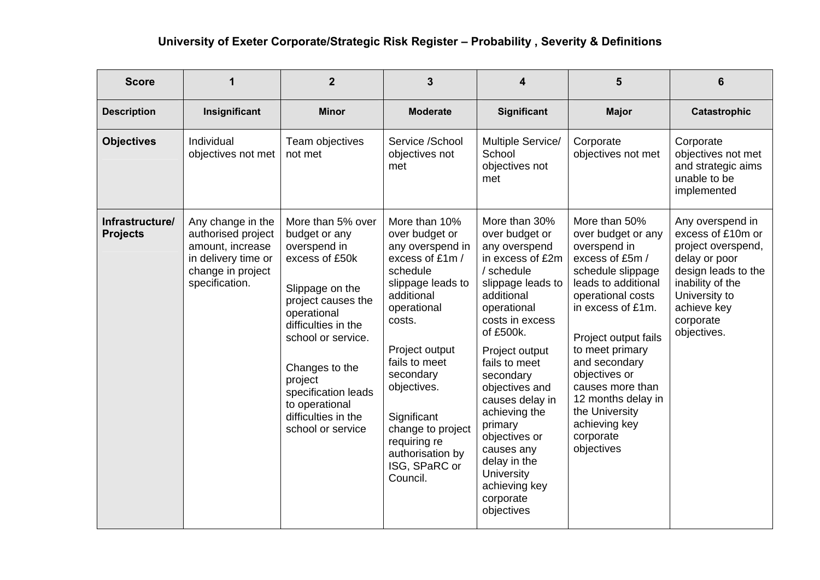| <b>Score</b>                       | 1                                                                                                                         | $\overline{2}$                                                                                                                                                                                                                                                                              | 3                                                                                                                                                                                                                                                                                                                  | 4                                                                                                                                                                                                                                                                                                                                                                                                     | 5                                                                                                                                                                                                                                                                                                                                                 | 6                                                                                                                                                                                   |
|------------------------------------|---------------------------------------------------------------------------------------------------------------------------|---------------------------------------------------------------------------------------------------------------------------------------------------------------------------------------------------------------------------------------------------------------------------------------------|--------------------------------------------------------------------------------------------------------------------------------------------------------------------------------------------------------------------------------------------------------------------------------------------------------------------|-------------------------------------------------------------------------------------------------------------------------------------------------------------------------------------------------------------------------------------------------------------------------------------------------------------------------------------------------------------------------------------------------------|---------------------------------------------------------------------------------------------------------------------------------------------------------------------------------------------------------------------------------------------------------------------------------------------------------------------------------------------------|-------------------------------------------------------------------------------------------------------------------------------------------------------------------------------------|
| <b>Description</b>                 | Insignificant                                                                                                             | <b>Minor</b>                                                                                                                                                                                                                                                                                | <b>Moderate</b>                                                                                                                                                                                                                                                                                                    | <b>Significant</b>                                                                                                                                                                                                                                                                                                                                                                                    | <b>Major</b>                                                                                                                                                                                                                                                                                                                                      | Catastrophic                                                                                                                                                                        |
| <b>Objectives</b>                  | Individual<br>objectives not met                                                                                          | Team objectives<br>not met                                                                                                                                                                                                                                                                  | Service /School<br>objectives not<br>met                                                                                                                                                                                                                                                                           | Multiple Service/<br>School<br>objectives not<br>met                                                                                                                                                                                                                                                                                                                                                  | Corporate<br>objectives not met                                                                                                                                                                                                                                                                                                                   | Corporate<br>objectives not met<br>and strategic aims<br>unable to be<br>implemented                                                                                                |
| Infrastructure/<br><b>Projects</b> | Any change in the<br>authorised project<br>amount, increase<br>in delivery time or<br>change in project<br>specification. | More than 5% over<br>budget or any<br>overspend in<br>excess of £50k<br>Slippage on the<br>project causes the<br>operational<br>difficulties in the<br>school or service.<br>Changes to the<br>project<br>specification leads<br>to operational<br>difficulties in the<br>school or service | More than 10%<br>over budget or<br>any overspend in<br>excess of £1m /<br>schedule<br>slippage leads to<br>additional<br>operational<br>costs.<br>Project output<br>fails to meet<br>secondary<br>objectives.<br>Significant<br>change to project<br>requiring re<br>authorisation by<br>ISG, SPaRC or<br>Council. | More than 30%<br>over budget or<br>any overspend<br>in excess of £2m<br>/ schedule<br>slippage leads to<br>additional<br>operational<br>costs in excess<br>of £500k.<br>Project output<br>fails to meet<br>secondary<br>objectives and<br>causes delay in<br>achieving the<br>primary<br>objectives or<br>causes any<br>delay in the<br><b>University</b><br>achieving key<br>corporate<br>objectives | More than 50%<br>over budget or any<br>overspend in<br>excess of £5m /<br>schedule slippage<br>leads to additional<br>operational costs<br>in excess of £1m.<br>Project output fails<br>to meet primary<br>and secondary<br>objectives or<br>causes more than<br>12 months delay in<br>the University<br>achieving key<br>corporate<br>objectives | Any overspend in<br>excess of £10m or<br>project overspend,<br>delay or poor<br>design leads to the<br>inability of the<br>University to<br>achieve key<br>corporate<br>objectives. |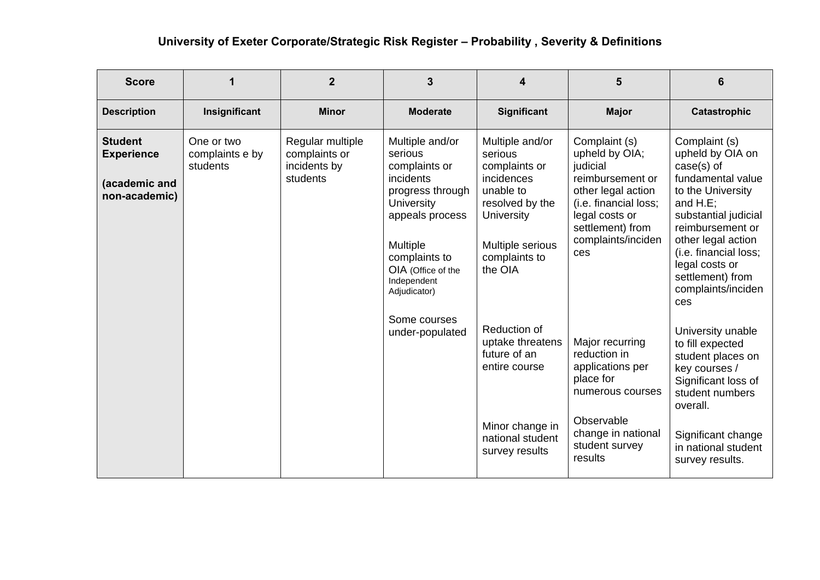| <b>Score</b>                                                          |                                           | $\overline{2}$                                                | 3                                                                                                                                                                                                             | 4                                                                                                                                                       | 5                                                                                                                                                                                 | 6                                                                                                                                                                                                                                                                        |
|-----------------------------------------------------------------------|-------------------------------------------|---------------------------------------------------------------|---------------------------------------------------------------------------------------------------------------------------------------------------------------------------------------------------------------|---------------------------------------------------------------------------------------------------------------------------------------------------------|-----------------------------------------------------------------------------------------------------------------------------------------------------------------------------------|--------------------------------------------------------------------------------------------------------------------------------------------------------------------------------------------------------------------------------------------------------------------------|
| <b>Description</b>                                                    | Insignificant                             | <b>Minor</b>                                                  | <b>Moderate</b>                                                                                                                                                                                               | <b>Significant</b>                                                                                                                                      | <b>Major</b>                                                                                                                                                                      | <b>Catastrophic</b>                                                                                                                                                                                                                                                      |
| <b>Student</b><br><b>Experience</b><br>(academic and<br>non-academic) | One or two<br>complaints e by<br>students | Regular multiple<br>complaints or<br>incidents by<br>students | Multiple and/or<br>serious<br>complaints or<br>incidents<br>progress through<br><b>University</b><br>appeals process<br><b>Multiple</b><br>complaints to<br>OIA (Office of the<br>Independent<br>Adjudicator) | Multiple and/or<br>serious<br>complaints or<br>incidences<br>unable to<br>resolved by the<br>University<br>Multiple serious<br>complaints to<br>the OIA | Complaint (s)<br>upheld by OIA;<br>judicial<br>reimbursement or<br>other legal action<br>(i.e. financial loss;<br>legal costs or<br>settlement) from<br>complaints/inciden<br>ces | Complaint (s)<br>upheld by OIA on<br>$case(s)$ of<br>fundamental value<br>to the University<br>and $H.E$ ;<br>substantial judicial<br>reimbursement or<br>other legal action<br>(i.e. financial loss;<br>legal costs or<br>settlement) from<br>complaints/inciden<br>ces |
|                                                                       |                                           |                                                               | Some courses<br>under-populated                                                                                                                                                                               | Reduction of<br>uptake threatens<br>future of an<br>entire course<br>Minor change in<br>national student<br>survey results                              | Major recurring<br>reduction in<br>applications per<br>place for<br>numerous courses<br>Observable<br>change in national<br>student survey<br>results                             | University unable<br>to fill expected<br>student places on<br>key courses /<br>Significant loss of<br>student numbers<br>overall.<br>Significant change<br>in national student<br>survey results.                                                                        |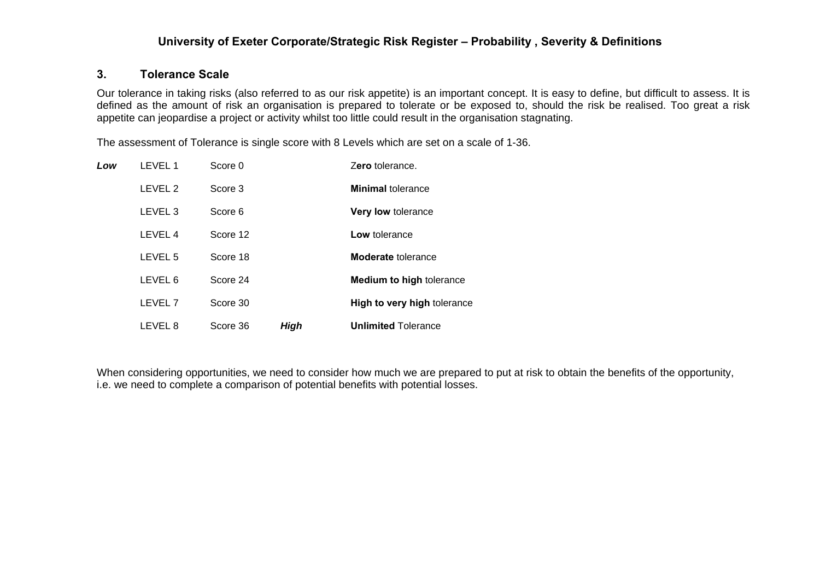#### **3. Tolerance Scale**

Our tolerance in taking risks (also referred to as our risk appetite) is an important concept. It is easy to define, but difficult to assess. It is defined as the amount of risk an organisation is prepared to tolerate or be exposed to, should the risk be realised. Too great a risk appetite can jeopardise a project or activity whilst too little could result in the organisation stagnating.

The assessment of Tolerance is single score with 8 Levels which are set on a scale of 1-36.

| Low | LEVEL 1            | Score 0  |             | Zero tolerance.                 |
|-----|--------------------|----------|-------------|---------------------------------|
|     | LEVEL 2            | Score 3  |             | <b>Minimal tolerance</b>        |
|     | LEVEL <sub>3</sub> | Score 6  |             | Very low tolerance              |
|     | LEVEL 4            | Score 12 |             | Low tolerance                   |
|     | LEVEL 5            | Score 18 |             | <b>Moderate</b> tolerance       |
|     | LEVEL 6            | Score 24 |             | <b>Medium to high tolerance</b> |
|     | LEVEL <sub>7</sub> | Score 30 |             | High to very high tolerance     |
|     | LEVEL 8            | Score 36 | <b>High</b> | <b>Unlimited Tolerance</b>      |

When considering opportunities, we need to consider how much we are prepared to put at risk to obtain the benefits of the opportunity, i.e. we need to complete a comparison of potential benefits with potential losses.